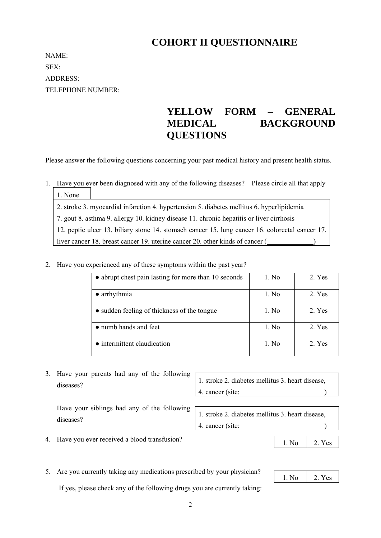# **COHORT II QUESTIONNAIRE**

NAME: SEX: ADDRESS: TELEPHONE NUMBER:

# **YELLOW FORM – GENERAL MEDICAL BACKGROUND QUESTIONS**

Please answer the following questions concerning your past medical history and present health status.

1. Have you ever been diagnosed with any of the following diseases? Please circle all that apply  $1. N<sub>1</sub>$ 

| 1. None                                                                                         |
|-------------------------------------------------------------------------------------------------|
| 2. stroke 3. myocardial infarction 4. hypertension 5. diabetes mellitus 6. hyperlipidemia       |
| 7. gout 8. asthma 9. allergy 10. kidney disease 11. chronic hepatitis or liver cirrhosis        |
| 12. peptic ulcer 13. biliary stone 14. stomach cancer 15. lung cancer 16. colorectal cancer 17. |
| liver cancer 18. breast cancer 19. uterine cancer 20. other kinds of cancer (                   |

#### 2. Have you experienced any of these symptoms within the past year?

| • abrupt chest pain lasting for more than 10 seconds | 1. No | 2. Yes |
|------------------------------------------------------|-------|--------|
| $\bullet$ arrhythmia                                 | 1. No | 2. Yes |
| • sudden feeling of thickness of the tongue          | 1. No | 2. Yes |
| • numb hands and feet                                | 1. No | 2. Yes |
| • intermittent claudication                          | 1. No | 2. Yes |

3. Have your parents had any of the following diseases?

1. stroke 2. diabetes mellitus 3. heart disease, 4. cancer (site: )

Have your siblings had any of the following diseases?

1. stroke 2. diabetes mellitus 3. heart disease, 4. cancer (site: )

- 4. Have you ever received a blood transfusion?
- 5. Are you currently taking any medications prescribed by your physician?

If yes, please check any of the following drugs you are currently taking:

| 1 No | Yes |
|------|-----|
|      |     |

1. No 2. Yes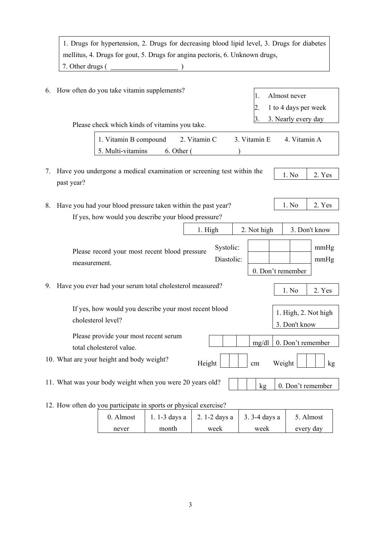|    | 1. Drugs for hypertension, 2. Drugs for decreasing blood lipid level, 3. Drugs for diabetes |              |                                       |  |  |  |
|----|---------------------------------------------------------------------------------------------|--------------|---------------------------------------|--|--|--|
|    | mellitus, 4. Drugs for gout, 5. Drugs for angina pectoris, 6. Unknown drugs,                |              |                                       |  |  |  |
|    | $7.$ Other drugs ( $\_\_$                                                                   |              |                                       |  |  |  |
|    |                                                                                             |              |                                       |  |  |  |
| 6. | How often do you take vitamin supplements?                                                  | 1.           | Almost never                          |  |  |  |
|    |                                                                                             |              | 1 to 4 days per week                  |  |  |  |
|    | Please check which kinds of vitamins you take.                                              |              | 3. Nearly every day                   |  |  |  |
|    | 1. Vitamin B compound 2. Vitamin C                                                          | 3. Vitamin E | 4. Vitamin A                          |  |  |  |
|    | 5. Multi-vitamins<br>6. Other (                                                             |              |                                       |  |  |  |
| 7. | Have you undergone a medical examination or screening test within the                       |              | 1. No<br>2. Yes                       |  |  |  |
|    | past year?                                                                                  |              |                                       |  |  |  |
| 8. | Have you had your blood pressure taken within the past year?                                |              | 1. No<br>2. Yes                       |  |  |  |
|    | If yes, how would you describe your blood pressure?                                         |              |                                       |  |  |  |
|    | 1. High                                                                                     | 2. Not high  | 3. Don't know                         |  |  |  |
|    | Systolic:<br>Please record your most recent blood pressure<br>Diastolic:<br>measurement.    |              | mmHg<br>mmHg<br>0. Don't remember     |  |  |  |
| 9. | Have you ever had your serum total cholesterol measured?                                    |              | 1. No<br>2. Yes                       |  |  |  |
|    | If yes, how would you describe your most recent blood<br>cholesterol level?                 |              | 1. High, 2. Not high<br>3. Don't know |  |  |  |
|    | Please provide your most recent serum<br>total cholesterol value.                           | mg/dl        | 0. Don't remember                     |  |  |  |
|    | 10. What are your height and body weight?<br>Height                                         | cm           | Weight<br>kg                          |  |  |  |
|    | 11. What was your body weight when you were 20 years old?                                   | kg           | 0. Don't remember                     |  |  |  |
|    | 12. How often do you participate in sports or physical exercise?                            |              |                                       |  |  |  |

| 0. Almost |       | 1. 1-3 days a $\vert$ 2. 1-2 days a $\vert$ 3. 3-4 days a |      | 5. Almost |
|-----------|-------|-----------------------------------------------------------|------|-----------|
| never     | month | week                                                      | week | every day |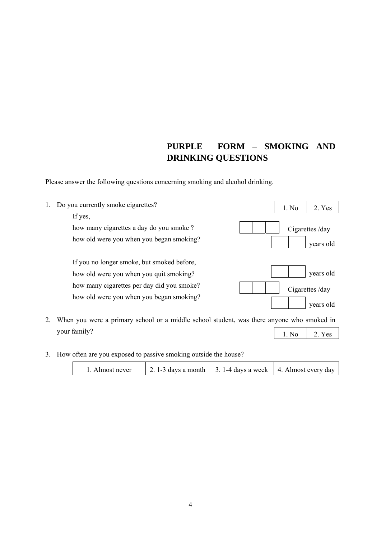## **PURPLE FORM – SMOKING AND DRINKING QUESTIONS**

Please answer the following questions concerning smoking and alcohol drinking.



3. How often are you exposed to passive smoking outside the house?

|--|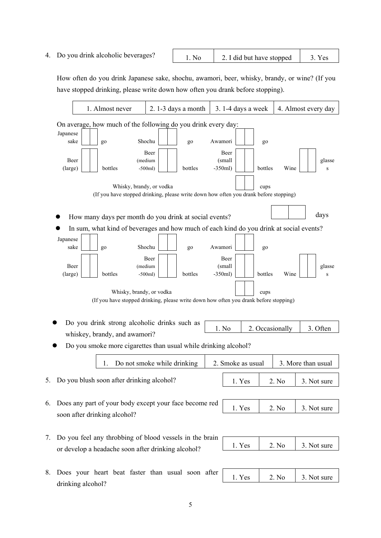4. Do you drink alcoholic beverages? 1. No  $\begin{array}{|c|c|c|c|} \hline \end{array}$  2. I did but have stopped  $\begin{array}{|c|c|c|c|} \hline \end{array}$  3. Yes

How often do you drink Japanese sake, shochu, awamori, beer, whisky, brandy, or wine? (If you have stopped drinking, please write down how often you drank before stopping).

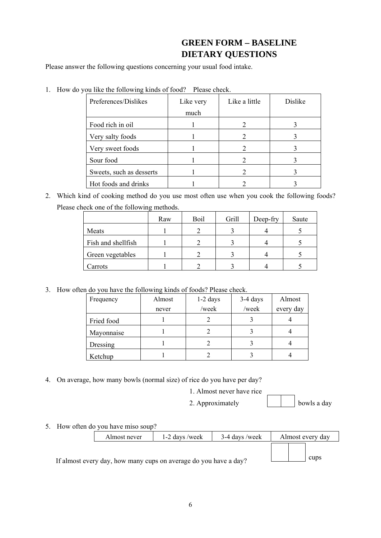#### **GREEN FORM – BASELINE DIETARY QUESTIONS**

Please answer the following questions concerning your usual food intake.

| you like the following Kinds of food: Thease encer. |           |               |         |  |  |  |  |
|-----------------------------------------------------|-----------|---------------|---------|--|--|--|--|
| Preferences/Dislikes                                | Like very | Like a little | Dislike |  |  |  |  |
|                                                     | much      |               |         |  |  |  |  |
| Food rich in oil                                    |           |               |         |  |  |  |  |
| Very salty foods                                    |           |               |         |  |  |  |  |
| Very sweet foods                                    |           |               |         |  |  |  |  |
| Sour food                                           |           |               |         |  |  |  |  |
| Sweets, such as desserts                            |           |               |         |  |  |  |  |
| Hot foods and drinks                                |           |               |         |  |  |  |  |

1. How do you like the following kinds of food? Please check.

2. Which kind of cooking method do you use most often use when you cook the following foods? Please check one of the following methods.

|                    | Raw | Boil | Grill | Deep-fry | Saute |
|--------------------|-----|------|-------|----------|-------|
| Meats              |     |      |       |          |       |
| Fish and shellfish |     |      |       |          |       |
| Green vegetables   |     |      |       |          |       |
| Carrots            |     |      |       |          |       |

3. How often do you have the following kinds of foods? Please check.

| Frequency  | Almost | $1-2$ days | $3-4$ days | Almost    |
|------------|--------|------------|------------|-----------|
|            | never  | /week      | /week      | every day |
| Fried food |        |            |            |           |
| Mayonnaise |        |            |            |           |
| Dressing   |        |            |            |           |
| Ketchup    |        |            |            |           |

4. On average, how many bowls (normal size) of rice do you have per day?

1. Almost never have rice

2. Approximately bowls a day

5. How often do you have miso soup?

|                                                                  | Almost never | 1-2 days /week | 3-4 days /week | Almost every day |  |
|------------------------------------------------------------------|--------------|----------------|----------------|------------------|--|
| If almost every day, how many cups on average do you have a day? | cups         |                |                |                  |  |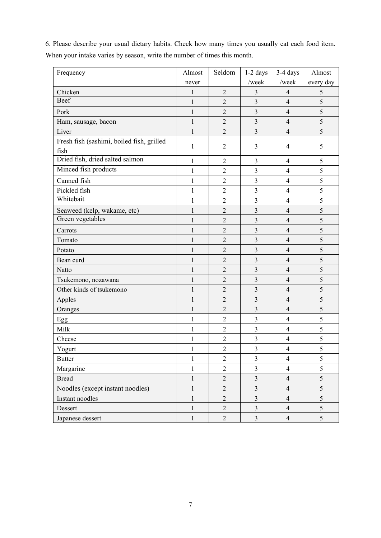| Frequency                                         | Almost       | Seldom         | $1-2$ days              | 3-4 days                 | Almost        |
|---------------------------------------------------|--------------|----------------|-------------------------|--------------------------|---------------|
|                                                   | never        |                | /week                   | /week                    | every day     |
| Chicken                                           | $\mathbf{1}$ | $\overline{2}$ | 3                       | 4                        | 5             |
| Beef                                              | $\mathbf{1}$ | $\overline{2}$ | $\overline{3}$          | $\overline{4}$           | 5             |
| Pork                                              | 1            | $\overline{2}$ | 3                       | $\overline{4}$           | 5             |
| Ham, sausage, bacon                               | $\mathbf{1}$ | $\overline{2}$ | 3                       | $\overline{4}$           | 5             |
| Liver                                             | $\mathbf{1}$ | $\overline{2}$ | 3                       | $\overline{4}$           | 5             |
| Fresh fish (sashimi, boiled fish, grilled<br>fish | 1            | $\overline{2}$ | 3                       | 4                        | 5             |
| Dried fish, dried salted salmon                   | $\mathbf{1}$ | $\overline{2}$ | 3                       | $\overline{4}$           | 5             |
| Minced fish products                              | $\mathbf{1}$ | $\overline{2}$ | 3                       | $\overline{4}$           | 5             |
| Canned fish                                       | 1            | $\overline{2}$ | 3                       | 4                        | 5             |
| Pickled fish                                      | 1            | $\overline{2}$ | 3                       | $\overline{4}$           | 5             |
| Whitebait                                         | 1            | $\overline{2}$ | 3                       | $\overline{4}$           | $\mathfrak s$ |
| Seaweed (kelp, wakame, etc)                       | $\mathbf{1}$ | $\overline{2}$ | 3                       | $\overline{4}$           | 5             |
| Green vegetables                                  | $\mathbf{1}$ | $\overline{2}$ | $\overline{3}$          | $\overline{4}$           | 5             |
| Carrots                                           | 1            | $\overline{2}$ | $\overline{\mathbf{3}}$ | $\overline{4}$           | 5             |
| Tomato                                            | $\mathbf{1}$ | $\overline{2}$ | 3                       | $\overline{4}$           | 5             |
| Potato                                            | 1            | $\overline{2}$ | $\overline{3}$          | $\overline{4}$           | 5             |
| Bean curd                                         | $\mathbf{1}$ | $\overline{2}$ | 3                       | $\overline{4}$           | 5             |
| Natto                                             | $\mathbf{1}$ | $\overline{2}$ | 3                       | $\overline{4}$           | 5             |
| Tsukemono, nozawana                               | $\mathbf{1}$ | $\overline{2}$ | 3                       | $\overline{4}$           | 5             |
| Other kinds of tsukemono                          | $\mathbf{1}$ | $\overline{2}$ | 3                       | $\overline{4}$           | 5             |
| Apples                                            | 1            | $\overline{2}$ | 3                       | $\overline{4}$           | 5             |
| Oranges                                           | $\mathbf{1}$ | $\overline{2}$ | 3                       | $\overline{4}$           | 5             |
| Egg                                               | $\mathbf{1}$ | $\overline{2}$ | 3                       | 4                        | 5             |
| Milk                                              | 1            | $\overline{2}$ | 3                       | $\overline{4}$           | 5             |
| Cheese                                            | $\mathbf{1}$ | $\overline{2}$ | 3                       | $\overline{\mathcal{A}}$ | 5             |
| Yogurt                                            | $\mathbf{1}$ | $\overline{c}$ | $\overline{3}$          | $\overline{\mathcal{A}}$ | 5             |
| <b>Butter</b>                                     | $\mathbf{1}$ | $\overline{2}$ | $\overline{3}$          | $\overline{4}$           | 5             |
| Margarine                                         | 1            | $\overline{2}$ | $\mathfrak{Z}$          | $\overline{\mathbf{4}}$  | 5             |
| <b>Bread</b>                                      | $\mathbf{1}$ | $\overline{2}$ | $\overline{\mathbf{3}}$ | $\overline{4}$           | 5             |
| Noodles (except instant noodles)                  | $\mathbf{1}$ | $\overline{2}$ | $\mathfrak{Z}$          | $\overline{4}$           | 5             |
| Instant noodles                                   | $\mathbf{1}$ | $\overline{2}$ | $\overline{\mathbf{3}}$ | $\overline{4}$           | 5             |
| Dessert                                           | $\mathbf{1}$ | $\sqrt{2}$     | $\overline{3}$          | $\overline{4}$           | 5             |
| Japanese dessert                                  | $\mathbf{1}$ | $\overline{2}$ | $\overline{3}$          | $\overline{4}$           | 5             |

6. Please describe your usual dietary habits. Check how many times you usually eat each food item. When your intake varies by season, write the number of times this month.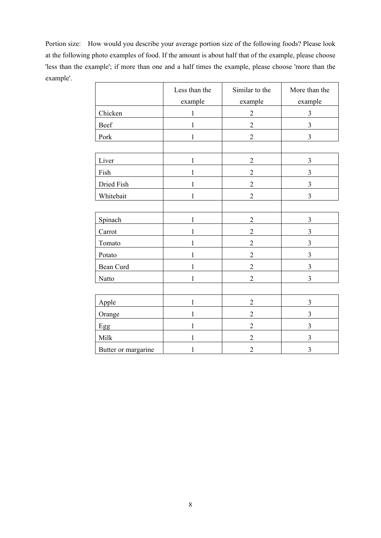Portion size: How would you describe your average portion size of the following foods? Please look at the following photo examples of food. If the amount is about half that of the example, please choose 'less than the example'; if more than one and a half times the example, please choose 'more than the example'.

|                     | Less than the | Similar to the | More than the  |
|---------------------|---------------|----------------|----------------|
|                     | example       | example        | example        |
| Chicken             | 1             | $\overline{2}$ | $\mathfrak{Z}$ |
| Beef                | 1             | $\overline{2}$ | $\overline{3}$ |
| Pork                | 1             | $\overline{2}$ | 3              |
|                     |               |                |                |
| Liver               | 1             | $\mathbf{2}$   | 3              |
| Fish                | 1             | $\overline{2}$ | 3              |
| Dried Fish          | 1             | $\overline{2}$ | 3              |
| Whitebait           | 1             | $\overline{2}$ | $\overline{3}$ |
|                     |               |                |                |
| Spinach             | 1             | $\overline{2}$ | 3              |
| Carrot              | 1             | $\overline{2}$ | 3              |
| Tomato              | 1             | $\overline{2}$ | 3              |
| Potato              | 1             | $\overline{2}$ | $\overline{3}$ |
| Bean Curd           | $\mathbf{1}$  | $\overline{2}$ | $\overline{3}$ |
| Natto               | 1             | $\overline{2}$ | $\overline{3}$ |
|                     |               |                |                |
| Apple               | 1             | $\overline{2}$ | 3              |
| Orange              | 1             | $\overline{2}$ | $\overline{3}$ |
| Egg                 | 1             | $\overline{2}$ | $\overline{3}$ |
| Milk                | $\mathbf{1}$  | $\overline{2}$ | $\mathfrak{Z}$ |
| Butter or margarine | 1             | $\overline{2}$ | $\mathfrak{Z}$ |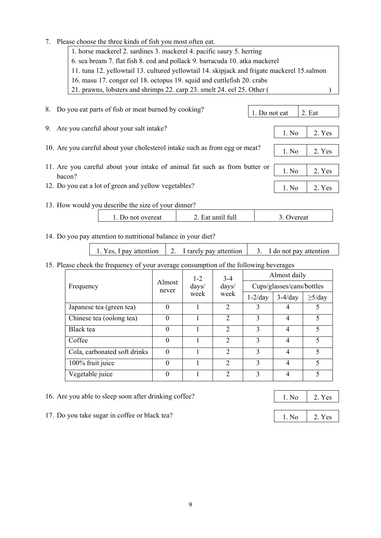1. horse mackerel 2. sardines 3. mackerel 4. pacific saury 5. herring 6. sea bream 7. flat fish 8. cod and pollack 9. barracuda 10. atka mackerel 11. tuna 12. yellowtail 13. cultured yellowtail 14. skipjack and frigate mackerel 15.salmon 16. masu 17. conger eel 18. octopus 19. squid and cuttlefish 20. crabs 21. prawns, lobsters and shrimps 22. carp 23. smelt 24. eel 25. Other ( ) 8. Do you eat parts of fish or meat burned by cooking? 9. Are you careful about your salt intake? 10. Are you careful about your cholesterol intake such as from egg or meat? 11. Are you careful about your intake of animal fat such as from butter or bacon? 12. Do you eat a lot of green and yellow vegetables? 13. How would you describe the size of your dinner? 1. Do not overeat | 2. Eat until full | 3. Overeat 14. Do you pay attention to nutritional balance in your diet? 15. Please check the frequency of your average consumption of the following beverages 1. Do not eat  $\vert$  2. Eat 1. No  $\vert$  2. Yes 1. No 2. Yes 1. No 2. Yes 1. No  $\vert$  2. Yes 1. Yes, I pay attention  $\begin{vmatrix} 2 \\ 1 \end{vmatrix}$  arely pay attention  $\begin{vmatrix} 3 \\ 3 \end{vmatrix}$  I do not pay attention

|                                                           |          | $1 - 2$                   | $3-4$                       | Almost daily  |           |              |  |
|-----------------------------------------------------------|----------|---------------------------|-----------------------------|---------------|-----------|--------------|--|
| Almost<br>days/<br>$\frac{days}{ }$<br>Frequency<br>never |          | Cups/glasses/cans/bottles |                             |               |           |              |  |
|                                                           |          | week                      | week                        | $1-2/day$     | $3-4/day$ | $\geq$ 5/day |  |
| Japanese tea (green tea)                                  | $\Omega$ |                           | $\mathcal{D}$               |               |           |              |  |
| Chinese tea (oolong tea)                                  | $\theta$ |                           | $\overline{2}$              | $\mathcal{E}$ | 4         | 5            |  |
| Black tea                                                 | $\Omega$ |                           | $\mathcal{D}_{\mathcal{L}}$ | 3             | 4         | $\varsigma$  |  |
| Coffee                                                    | $\Omega$ |                           | $\mathcal{D}$               | $\mathbf{3}$  | 4         | $\varsigma$  |  |
| Cola, carbonated soft drinks                              | $\theta$ |                           | $\mathcal{D}_{\mathcal{L}}$ | $\mathcal{E}$ | 4         | $\varsigma$  |  |
| 100% fruit juice                                          | $\Omega$ |                           | $\mathcal{D}$               | 3             | 4         | $\varsigma$  |  |
| Vegetable juice                                           | $\Omega$ |                           | $\mathcal{D}$               | 3             | 4         | $\varsigma$  |  |

16. Are you able to sleep soon after drinking coffee?

7. Please choose the three kinds of fish you most often eat.

17. Do you take sugar in coffee or black tea?

1. No 2. Yes

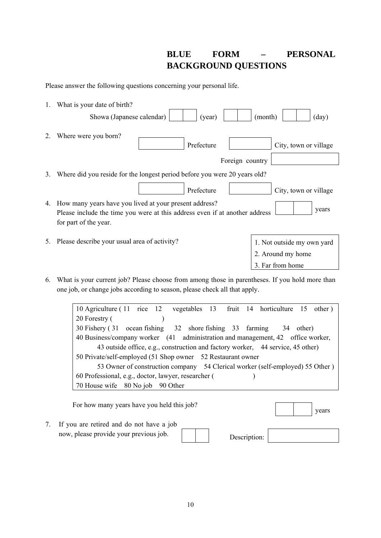## **BLUE FORM – PERSONAL BACKGROUND QUESTIONS**

Please answer the following questions concerning your personal life.

| 1. | What is your date of birth?                                                                                                                                             |
|----|-------------------------------------------------------------------------------------------------------------------------------------------------------------------------|
|    | Showa (Japanese calendar)<br>(month)<br>$\text{(day)}$<br>(year)                                                                                                        |
| 2. | Where were you born?<br>Prefecture<br>City, town or village                                                                                                             |
|    | Foreign country                                                                                                                                                         |
| 3. | Where did you reside for the longest period before you were 20 years old?                                                                                               |
|    | Prefecture<br>City, town or village                                                                                                                                     |
| 4. | How many years have you lived at your present address?<br>years<br>Please include the time you were at this address even if at another address<br>for part of the year. |
| 5. | Please describe your usual area of activity?<br>1. Not outside my own yard                                                                                              |
|    | 2. Around my home                                                                                                                                                       |
|    | 3. Far from home                                                                                                                                                        |
|    |                                                                                                                                                                         |

6. What is your current job? Please choose from among those in parentheses. If you hold more than one job, or change jobs according to season, please check all that apply.

| 10 Agriculture (11 rice 12 vegetables 13 fruit 14 horticulture 15 other)        |
|---------------------------------------------------------------------------------|
| 20 Forestry (                                                                   |
| 30 Fishery (31 ocean fishing 32 shore fishing 33 farming 34 other)              |
| 40 Business/company worker (41 administration and management, 42 office worker, |
| 43 outside office, e.g., construction and factory worker, 44 service, 45 other) |
| 50 Private/self-employed (51 Shop owner 52 Restaurant owner                     |
| 53 Owner of construction company 54 Clerical worker (self-employed) 55 Other)   |
| 60 Professional, e.g., doctor, lawyer, researcher (                             |
| 70 House wife 80 No job 90 Other                                                |
|                                                                                 |

| For how many years have you held this job?  |  |              |  | years |
|---------------------------------------------|--|--------------|--|-------|
| 7. If you are retired and do not have a job |  |              |  |       |
| now, please provide your previous job.      |  | Description: |  |       |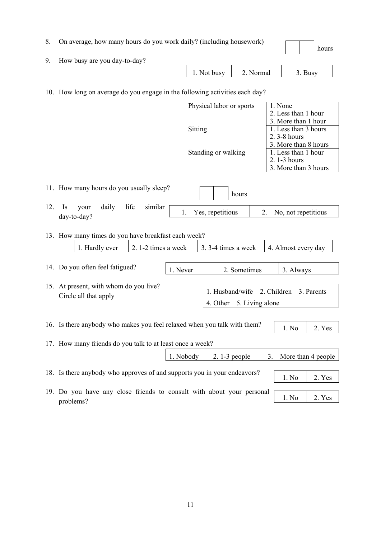|  |  |  |  |  | On average, how many hours do you work daily? (including housework) |
|--|--|--|--|--|---------------------------------------------------------------------|
|--|--|--|--|--|---------------------------------------------------------------------|

| 8.  | On average, how many hours do you work daily? (including housework)                          |                          |                     |                          |                                                                     | hours              |
|-----|----------------------------------------------------------------------------------------------|--------------------------|---------------------|--------------------------|---------------------------------------------------------------------|--------------------|
| 9.  | How busy are you day-to-day?                                                                 |                          |                     |                          |                                                                     |                    |
|     |                                                                                              | 1. Not busy              |                     | 2. Normal                |                                                                     | 3. Busy            |
|     | 10. How long on average do you engage in the following activities each day?                  |                          |                     |                          |                                                                     |                    |
|     |                                                                                              | Physical labor or sports |                     |                          | $\overline{1}$ . None<br>2. Less than 1 hour<br>3. More than 1 hour |                    |
|     |                                                                                              | Sitting                  |                     |                          | 1. Less than 3 hours<br>2.3-8 hours<br>3. More than 8 hours         |                    |
|     |                                                                                              | Standing or walking      |                     |                          | 1. Less than 1 hour<br>2.1-3 hours<br>3. More than 3 hours          |                    |
|     | 11. How many hours do you usually sleep?                                                     |                          | hours               |                          |                                                                     |                    |
| 12. | life<br>daily<br>similar<br>Is<br>your<br>day-to-day?                                        | 1.                       | Yes, repetitious    | 2.                       | No, not repetitious                                                 |                    |
|     | 13. How many times do you have breakfast each week?<br>1. Hardly ever<br>2. 1-2 times a week |                          | 3. 3-4 times a week |                          | 4. Almost every day                                                 |                    |
|     | 14. Do you often feel fatigued?<br>1. Never                                                  |                          | 2. Sometimes        |                          | 3. Always                                                           |                    |
|     |                                                                                              |                          |                     |                          |                                                                     |                    |
|     | 15. At present, with whom do you live?<br>Circle all that apply                              |                          | 1. Husband/wife     | 4. Other 5. Living alone | 2. Children                                                         | 3. Parents         |
|     | 16. Is there anybody who makes you feel relaxed when you talk with them?                     |                          |                     |                          | 1. No                                                               | 2. Yes             |
|     | 17. How many friends do you talk to at least once a week?                                    |                          |                     |                          |                                                                     |                    |
|     |                                                                                              | 1. Nobody                | $2.1-3$ people      | 3.                       |                                                                     | More than 4 people |
|     | 18. Is there anybody who approves of and supports you in your endeavors?                     |                          |                     |                          | 1. No                                                               | 2. Yes             |
|     | 19. Do you have any close friends to consult with about your personal                        |                          |                     |                          |                                                                     |                    |
|     | problems?                                                                                    |                          |                     |                          | 1. No                                                               | 2. Yes             |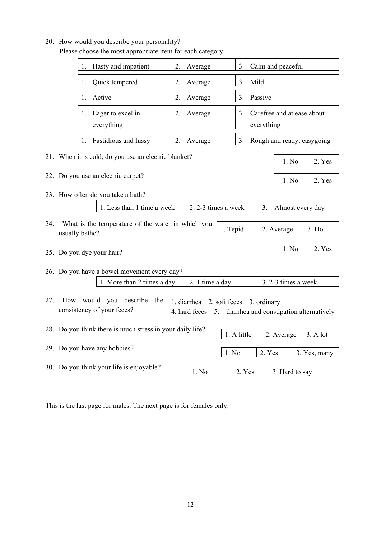#### 20. How would you describe your personality?

Please choose the most appropriate item for each category.

|     | Hasty and impatient<br>1.                                               | 2. | Average                                             | 3.          | Calm and peaceful                                      |  |  |
|-----|-------------------------------------------------------------------------|----|-----------------------------------------------------|-------------|--------------------------------------------------------|--|--|
|     | Quick tempered<br>1.                                                    | 2. | Average                                             | 3.          | Mild                                                   |  |  |
|     | Active<br>1.                                                            | 2. | Average                                             | 3.          | Passive                                                |  |  |
|     | Eager to excel in<br>1.<br>everything                                   | 2. | Average                                             | 3.          | Carefree and at ease about<br>everything               |  |  |
|     | Fastidious and fussy                                                    | 2. | Average                                             | 3.          | Rough and ready, easygoing                             |  |  |
|     | 21. When it is cold, do you use an electric blanket?<br>1. No<br>2. Yes |    |                                                     |             |                                                        |  |  |
|     | 22. Do you use an electric carpet?                                      |    |                                                     |             | 1. No<br>2. Yes                                        |  |  |
|     | 23. How often do you take a bath?                                       |    |                                                     |             |                                                        |  |  |
|     | 1. Less than 1 time a week                                              |    | 2. 2-3 times a week                                 |             | Almost every day<br>3.                                 |  |  |
| 24. | What is the temperature of the water in which you<br>usually bathe?     |    |                                                     | 1. Tepid    | 2. Average<br>3. Hot                                   |  |  |
|     | 25. Do you dye your hair?                                               |    |                                                     |             | 1. No<br>2. Yes                                        |  |  |
|     | 26. Do you have a bowel movement every day?                             |    |                                                     |             |                                                        |  |  |
|     | 1. More than 2 times a day                                              |    | 2. 1 time a day                                     |             | 3. 2-3 times a week                                    |  |  |
| 27. | How would you describe<br>the<br>consistency of your feces?             |    | 2. soft feces<br>1. diarrhea<br>4. hard feces<br>5. |             | 3. ordinary<br>diarrhea and constipation alternatively |  |  |
|     | 28. Do you think there is much stress in your daily life?               |    |                                                     | 1. A little | 3. A lot<br>2. Average                                 |  |  |
|     | 29. Do you have any hobbies?                                            |    |                                                     | 1. No       | 2. Yes<br>3. Yes, many                                 |  |  |
|     | 30. Do you think your life is enjoyable?                                |    | 1. No                                               | 2. Yes      | 3. Hard to say                                         |  |  |

This is the last page for males. The next page is for females only.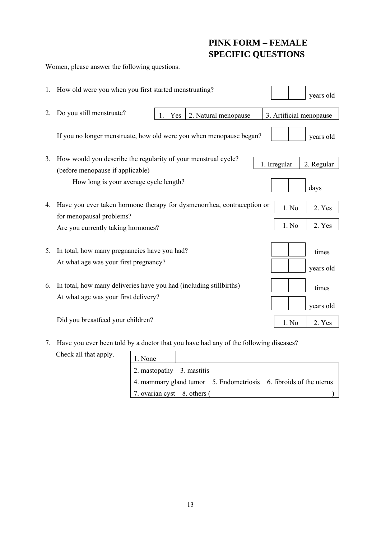# **PINK FORM – FEMALE SPECIFIC QUESTIONS**

Women, please answer the following questions.

|    | 1. How old were you when you first started menstruating?                                                    | years old                  |
|----|-------------------------------------------------------------------------------------------------------------|----------------------------|
| 2. | Do you still menstruate?<br>2. Natural menopause<br>1.<br>Yes                                               | 3. Artificial menopause    |
|    | If you no longer menstruate, how old were you when menopause began?                                         | years old                  |
| 3. | How would you describe the regularity of your menstrual cycle?<br>(before menopause if applicable)          | 1. Irregular<br>2. Regular |
|    | How long is your average cycle length?                                                                      | days                       |
| 4. | Have you ever taken hormone therapy for dysmenorrhea, contraception or<br>for menopausal problems?          | 1. No<br>2. Yes            |
|    | Are you currently taking hormones?                                                                          | 1. No<br>2. Yes            |
| 5. | In total, how many pregnancies have you had?<br>At what age was your first pregnancy?                       | times<br>years old         |
| 6. | In total, how many deliveries have you had (including still births)<br>At what age was your first delivery? | times<br>years old         |
|    | Did you breastfeed your children?                                                                           | 1. No<br>2. Yes            |

7. Have you ever been told by a doctor that you have had any of the following diseases? Check all that apply.  $\mathsf{r}$ 

| I that apply. | 1. None                                                           |
|---------------|-------------------------------------------------------------------|
|               | 2. mastopathy 3. mastitis                                         |
|               | 4. mammary gland tumor 5. Endometriosis 6. fibroids of the uterus |
|               | 7. ovarian cyst 8. others (                                       |